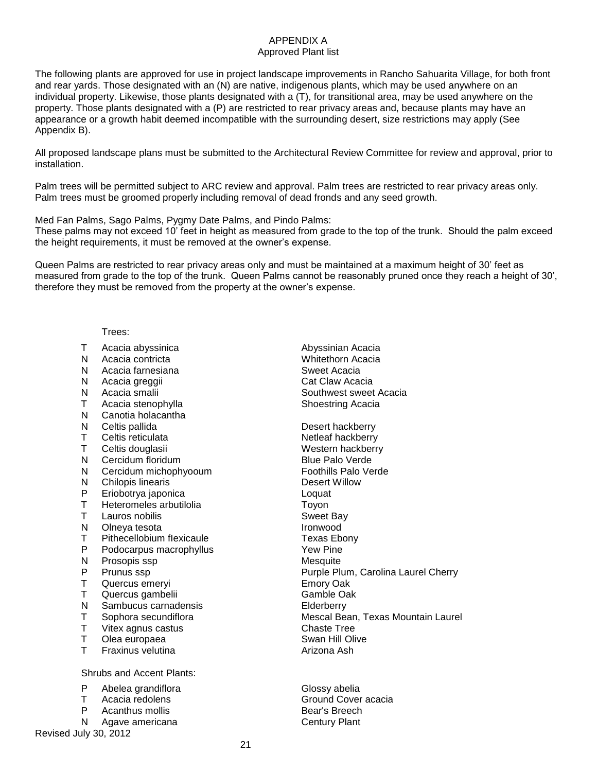## APPENDIX A

## Approved Plant list

The following plants are approved for use in project landscape improvements in Rancho Sahuarita Village, for both front and rear yards. Those designated with an (N) are native, indigenous plants, which may be used anywhere on an individual property. Likewise, those plants designated with a (T), for transitional area, may be used anywhere on the property. Those plants designated with a (P) are restricted to rear privacy areas and, because plants may have an appearance or a growth habit deemed incompatible with the surrounding desert, size restrictions may apply (See Appendix B).

All proposed landscape plans must be submitted to the Architectural Review Committee for review and approval, prior to installation.

Palm trees will be permitted subject to ARC review and approval. Palm trees are restricted to rear privacy areas only. Palm trees must be groomed properly including removal of dead fronds and any seed growth.

Med Fan Palms, Sago Palms, Pygmy Date Palms, and Pindo Palms:

These palms may not exceed 10' feet in height as measured from grade to the top of the trunk. Should the palm exceed the height requirements, it must be removed at the owner's expense.

Queen Palms are restricted to rear privacy areas only and must be maintained at a maximum height of 30' feet as measured from grade to the top of the trunk. Queen Palms cannot be reasonably pruned once they reach a height of 30', therefore they must be removed from the property at the owner's expense.

Trees:

- 
- N Acacia contricta
- N Acacia farnesiana entra alla superficient superficient superficient superficient superficient superficient superficient superficient superficient superficient superficient superficient superficient superficient superfici
- N Acacia greggii Cat Claw Acacia
- 
- T Acacia stenophylla Shoestring Acacia
- N Canotia holacantha<br>N Celtis pallida
- 
- T Celtis reticulata Netleaf hackberry
- T Celtis douglasii Western hackberry
- N Cercidum floridum **Blue Palo Verde**
- N Cercidum michophyooum Foothills Palo Verde
- 
- **Eriobotrya japonica** Loquat
- T Heteromeles arbutilolia T Toyon
- T Lauros nobilis Sweet Bay
- N Olneya tesota Ironwood
- T Pithecellobium flexicaule T Texas Ebony
- P Podocarpus macrophyllus **P** Yew Pine
- N Prosopis ssp Mesquite
- 
- Quercus emeryi **Emory Oak**
- T Quercus gambelii Gamble Oak
- N Sambucus carnadensis Elderberry
- 
- T Vitex agnus castus Chaste Tree
- T Olea europaea Swan Hill Olive
- T Fraxinus velutina **Arizona Ash**

Shrubs and Accent Plants:

- P Abelea grandiflora Clossy abelia
- T Acacia redolens Ground Cover acacia
- P Acanthus mollis Bear's Breech
- N Agave americana Century Plant

Revised July 30, 2012

T Acacia abyssinica abyssinian Acacia<br>
N Acacia contricta absolution Acacia<br>
N Acacia contricta N Acacia smalii Southwest sweet Acacia

Desert hackberry N Chilopis linearis<br>
P Eriobotrva iaponica<br>
P Eriobotrva iaponica P Prunus ssp **Purple Plum, Carolina Laurel Cherry**<br>
T Quercus emervi **Carolina Cherry**<br>
Emory Oak T Sophora secundiflora Mescal Bean, Texas Mountain Laurel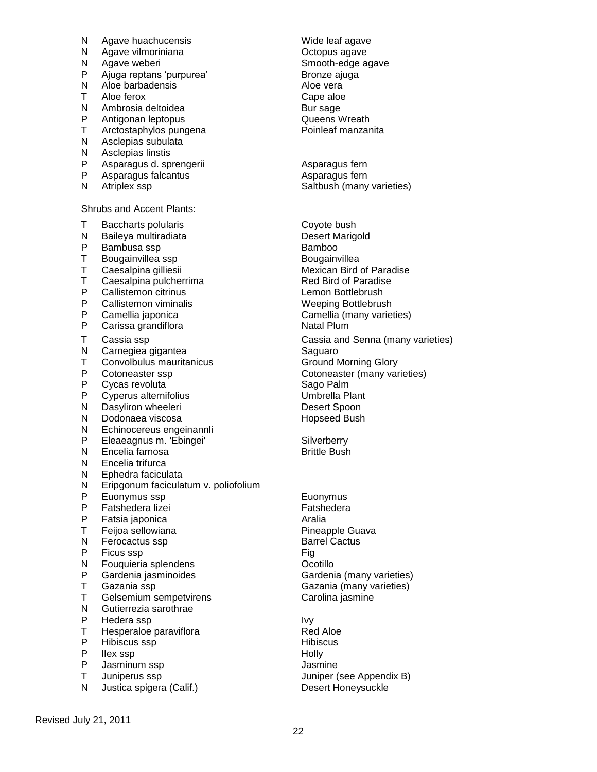- N Agave huachucensis Wide leaf agave
- 
- 
- P Ajuga reptans 'purpurea' Bronze ajuga<br>
N Aloe barbadensis<br>
N Aloe vera
- N Aloe barbadensis<br>T Aloe ferox
- 
- 
- 
- Arctostaphylos pungena
- N Asclepias subulata<br>N Asclepias linstis
- N Asclepias linstis<br>P Asparagus d. sp Asparagus d. sprengerii eta alian eta Asparagus fern
- P Asparagus falcantus Asparagus fern
- 

Shrubs and Accent Plants:

- 
- 
- N Baileya multiradiata<br>P Bambusa ssp
- 
- T Bougainvillea ssp<br>T Caesalpina gilliesii
- 
- 
- P Callistemon citrinus<br>P Callistemon viminali
- 
- Carissa grandiflora **Natal Plum**
- 
- Carnegiea gigantea
- T Convolbulus mauritanicus Ground Morning Glory
- 
- P Cycas revoluta<br>P Cyperus alterni
- P Cyperus alternifolius Umbrella Plant
- N Dasyliron wheeleri entitled a state of the Desert Spoon<br>N Dodonaea viscosa Desert Spoon Hopseed Bush
- Dodonaea viscosa
- N Echinocereus engeinannli
- P Eleaeagnus m. 'Ebingei' Silverberry<br>
N Encelia farnosa Silverberry<br>
N Encelia farnosa
- Encelia farnosa
- N Encelia trifurca
- N Ephedra faciculata<br>N Eripgonum facicula
- N Eripgonum faciculatum v. poliofolium<br>P Euonymus ssp
- P Euonymus ssp Euonymus
- P Fatshedera lizei Fatshedera lizei Fatshedera eta Estatubatuaren artean eta Erabia<br>P Fatsia iaponica
- 
- Feijoa sellowiana
- N Ferocactus ssp Barrel Cactus
- P Ficus ssp Fig. The Fig. 2.1 Section 1.1 Section 1.1 Section 1.1 Section 1.1 Section 1.1 Section 1.1 Section 1.1 Section 1.1 Section 1.1 Section 1.1 Section 1.1 Section 1.1 Section 1.1 Section 1.1 Section 1.1 Section 1.1
- N Fouquieria splendens **Network** Ocotillo
- 
- 
- T Gelsemium sempetvirens Carolina jasmine
- N Gutierrezia sarothrae
- 
- P Hedera ssp Ivy T Hesperaloe paraviflora<br>P Hibiscus ssp
- P Hibiscus ssp Hibiscus
- 
- P lIex ssp Holly P Jasminum ssp Jasmine<br>T Juniperus ssp Juniper (
- 
- N Justica spigera (Calif.) Desert Honeysuckle

N Agave vilmoriniana and the Coropus agave<br>N Agave weberi and Smooth-edge a N Agave weberi Smooth-edge agave T Aloe ferox Cape aloe Ambrosia deltoidea eta Bur sage Bur sage eta Bur sage anti-<br>Antigonan leptopus eta Bur sage Bur Sueens Wreath P Antigonan leptopus<br>
T Arctostaphylos pungena<br>
T Arctostaphylos pungena<br>
T Poinleaf manzanita

N Atriplex ssp Saltbush (many varieties)

T Baccharts polularis and the Coyote bush<br>
N Baileva multiradiata Contract Desert Marigold P Bambusa ssp **Bamboo**<br>
T Bougainvillea ssp **Bougainvillea** T Caesalpina gilliesii Mexican Bird of Paradise<br>T Caesalpina pulcherrima Mexican Bird of Paradise T Caesalpina pulcherrima<br>
P Callistemon citrinus<br>
P Callistemon citrinus P Callistemon viminalis and the Weeping Bottlebrush<br>P Camellia iaponica P Camellia japonica<br>P Carissa grandiflora Camellia (many varieties) T Cassia ssp Cassia and Senna (many varieties)<br>
N Carnegiea gigantea Cassia and Senna (many varieties) P Cotoneaster ssp Cotoneaster (many varieties)<br>
P Cycas revoluta 
Sago Palm

- P Fatsia japonica and anno 1920 Aralia<br>T Feiioa sellowiana anno 1920 Araba Pineapple Guava P Gardenia jasminoides Cardenia (many varieties)<br>T Gazania ssp Gazania (many varieties) Gazania ssp Gazania (many varieties)
	- Juniperus ssp **Juniper (see Appendix B)**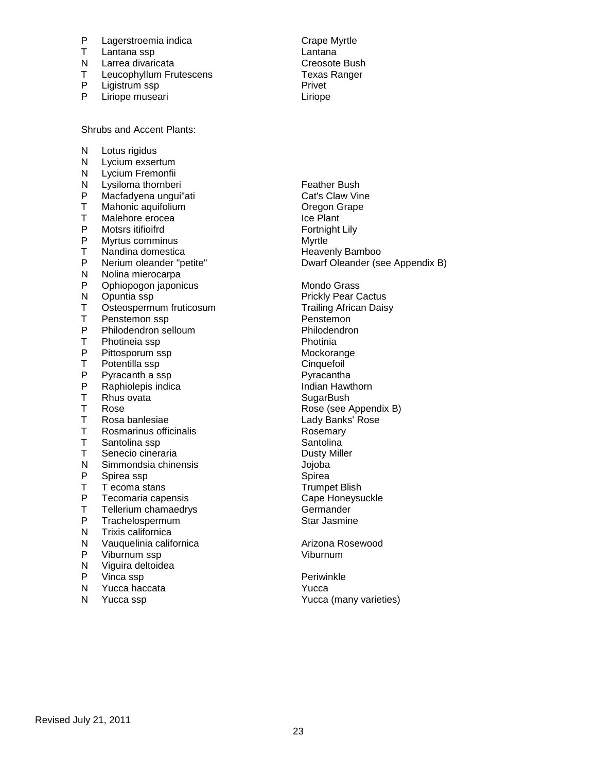- P Lagerstroemia indica<br>
T Lantana ssp. Cambridge Lantana
- 
- Larrea divaricata
- T Leucophyllum Frutescens<br>
P Ligistrum ssp<br>
P Ligistrum ssp
- P Ligistrum ssp<br>
P Liriope museari<br>
P Liriope museari
- Liriope museari

Shrubs and Accent Plants:

N Lotus rigidus N Lycium exsertum<br>N Lycium Fremonfii N Lycium Fremonfii<br>N Lysiloma thornber Lysiloma thornberi **Example 2018** Feather Bush P Macfadyena ungui"ati Cat's Claw Vine<br>T Mahonic aquifolium Cate Cheaon Grape T Mahonic aquifolium Oregon Grape Malehore erocea P Motsrs itifioifrd<br>
P Myrtus comminus<br>
P Myrtle P Myrtus comminus and the Myrtle Myrtle Myrtle Myrtle Myrtle Myrtle Myrtle Myrtle Myrtle Myrtle Myrtle Myrtle M<br>T Nandina domestica Nandina domestica P Nerium oleander "petite" Dwarf Oleander (see Appendix B)<br>N Nolina mierocarpa Nolina mierocarpa P Ophiopogon japonicus Mondo Grass<br>
N Opuntia ssp Mondo Grass N Opuntia ssp Prickly Pear Cactus<br>
T Osteospermum fruticosum<br>
Trailing African Daisy T Osteospermum fruticosum<br>T Penstemon ssp T Penstemon ssp en and the Penstemon<br>
P Philodendron selloum en Philodendron P Philodendron selloum Philoden<br>
T Photineia ssp Photinia T Photineia ssp<br>P Pittosporum ss P Pittosporum ssp Mockorange Mockorange<br>
T Potentilla ssp Mockorange Cinquefoil T Potentilla ssp Cinquefoil<br>
P Pyracanth a ssp Cinquefoil<br>
P Pyracantha ssp P Pyracanth a ssp entitled a state of the Pyracantha Pyracantha Pyracantha Pyracantha Pyracantha Pyracantha Pyracantha Pyracantha Pyracantha Pyracantha Pyracantha Pyracantha Pyracantha Pyracantha Pyracantha Pyracantha Pyra P Raphiolepis indica<br>
Rhus ovata<br>
Rhus ovata T Rhus ovata SugarBush<br>T Rose SugarBush Rose (see A T Rosa banlesiae Lady Banks' Rose<br>
T Rosmarinus officinalis Contract Rosemary T Rosmarinus officinalis<br>
T Santolina ssp and Santolina T Santolina ssp<br>
T Senecio cineraria<br>
T Senecio cineraria Senecio cineraria<br>
Simmondsia chinensis<br>
Olioba N Simmondsia chinensis<br>
P Spirea ssp<br>
Spirea Spirea P Spirea ssp<br>T Tecoma st T T ecoma stans Trumpet Blish<br>
P Tecomaria capensis Trumpet Blish<br>
Cape Honeysu P Tecomaria capensis<br>
T Tellerium chamaedrvs<br>
T Tellerium chamaedrvs<br>
Cermander T Tellerium chamaedrys Germander<br>
P Trachelospermum Camero Star Jasmin **Trachelospermum** Star Jasmine N Trixis californica N Vauquelinia californica Arizona Rosewood P Viburnum ssp Viburnum N Viguira deltoidea P Vinca ssp **Periminal**<br>
N Yucca haccata 
Periwinkle<br>
N Yucca 
<sub>N</sub> Yucca 
<sub>N</sub> Yucca 
<sub>N</sub> Yucca 
<sub>N</sub> Yucca 
<sub>N</sub> Yucca 
<sub>N</sub> Yucca 
<sub>N</sub> Yucca 
<sub>N</sub> Yucca 
<sub>N</sub> Yucca 
<sub>N</sub> Yucca 
<sub>N</sub> Yucca 
<sub>N</sub> Yucca 
<sub>N</sub> Yucca 
<sub>N</sub> Yucca 
<sub>N</sub> Y

- Yucca haccata Yucca Yucca
- 

T Lantana ssp Lantana

Rose (see Appendix B)

N Yucca ssp Yucca (many varieties)